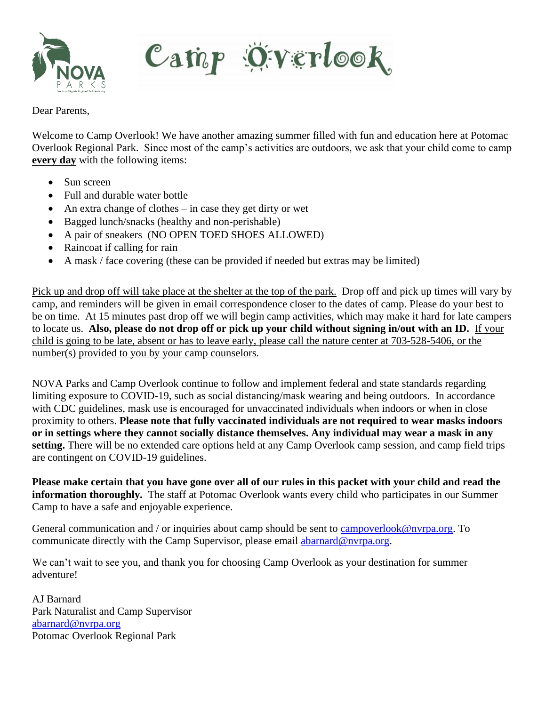

Camp Överlook

Dear Parents,

Welcome to Camp Overlook! We have another amazing summer filled with fun and education here at Potomac Overlook Regional Park. Since most of the camp's activities are outdoors, we ask that your child come to camp **every day** with the following items:

- Sun screen
- Full and durable water bottle
- An extra change of clothes  $-$  in case they get dirty or wet
- Bagged lunch/snacks (healthy and non-perishable)
- A pair of sneakers (NO OPEN TOED SHOES ALLOWED)
- Raincoat if calling for rain
- A mask / face covering (these can be provided if needed but extras may be limited)

Pick up and drop off will take place at the shelter at the top of the park. Drop off and pick up times will vary by camp, and reminders will be given in email correspondence closer to the dates of camp. Please do your best to be on time. At 15 minutes past drop off we will begin camp activities, which may make it hard for late campers to locate us. **Also, please do not drop off or pick up your child without signing in/out with an ID.** If your child is going to be late, absent or has to leave early, please call the nature center at 703-528-5406, or the number(s) provided to you by your camp counselors.

NOVA Parks and Camp Overlook continue to follow and implement federal and state standards regarding limiting exposure to COVID-19, such as social distancing/mask wearing and being outdoors. In accordance with CDC guidelines, mask use is encouraged for unvaccinated individuals when indoors or when in close proximity to others. **Please note that fully vaccinated individuals are not required to wear masks indoors or in settings where they cannot socially distance themselves. Any individual may wear a mask in any setting.** There will be no extended care options held at any Camp Overlook camp session, and camp field trips are contingent on COVID-19 guidelines.

**Please make certain that you have gone over all of our rules in this packet with your child and read the information thoroughly.** The staff at Potomac Overlook wants every child who participates in our Summer Camp to have a safe and enjoyable experience.

General communication and / or inquiries about camp should be sent to [campoverlook@nvrpa.org.](mailto:campoverlook@nvrpa.org) To communicate directly with the Camp Supervisor, please email [abarnard@nvrpa.org.](mailto:abarnard@nvrpa.org)

We can't wait to see you, and thank you for choosing Camp Overlook as your destination for summer adventure!

AJ Barnard Park Naturalist and Camp Supervisor [abarnard@nvrpa.org](mailto:abarnard@nvrpa.org) Potomac Overlook Regional Park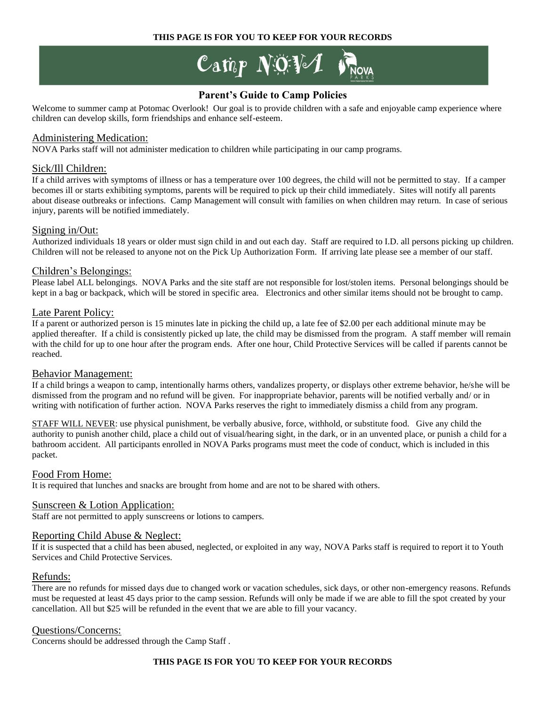#### **THIS PAGE IS FOR YOU TO KEEP FOR YOUR RECORDS**

Camp NOV $\mathcal I$  is

### **Parent's Guide to Camp Policies**

Welcome to summer camp at Potomac Overlook! Our goal is to provide children with a safe and enjoyable camp experience where children can develop skills, form friendships and enhance self-esteem.

#### Administering Medication:

NOVA Parks staff will not administer medication to children while participating in our camp programs.

#### Sick/Ill Children:

If a child arrives with symptoms of illness or has a temperature over 100 degrees, the child will not be permitted to stay. If a camper becomes ill or starts exhibiting symptoms, parents will be required to pick up their child immediately. Sites will notify all parents about disease outbreaks or infections. Camp Management will consult with families on when children may return. In case of serious injury, parents will be notified immediately.

#### Signing in/Out:

Authorized individuals 18 years or older must sign child in and out each day. Staff are required to I.D. all persons picking up children. Children will not be released to anyone not on the Pick Up Authorization Form. If arriving late please see a member of our staff.

#### Children's Belongings:

Please label ALL belongings. NOVA Parks and the site staff are not responsible for lost/stolen items. Personal belongings should be kept in a bag or backpack, which will be stored in specific area. Electronics and other similar items should not be brought to camp.

#### Late Parent Policy:

If a parent or authorized person is 15 minutes late in picking the child up, a late fee of \$2.00 per each additional minute may be applied thereafter. If a child is consistently picked up late, the child may be dismissed from the program. A staff member will remain with the child for up to one hour after the program ends. After one hour, Child Protective Services will be called if parents cannot be reached.

#### Behavior Management:

If a child brings a weapon to camp, intentionally harms others, vandalizes property, or displays other extreme behavior, he/she will be dismissed from the program and no refund will be given. For inappropriate behavior, parents will be notified verbally and/ or in writing with notification of further action. NOVA Parks reserves the right to immediately dismiss a child from any program.

STAFF WILL NEVER: use physical punishment, be verbally abusive, force, withhold, or substitute food. Give any child the authority to punish another child, place a child out of visual/hearing sight, in the dark, or in an unvented place, or punish a child for a bathroom accident. All participants enrolled in NOVA Parks programs must meet the code of conduct, which is included in this packet.

#### Food From Home:

It is required that lunches and snacks are brought from home and are not to be shared with others.

#### Sunscreen & Lotion Application:

Staff are not permitted to apply sunscreens or lotions to campers.

#### Reporting Child Abuse & Neglect:

If it is suspected that a child has been abused, neglected, or exploited in any way, NOVA Parks staff is required to report it to Youth Services and Child Protective Services.

#### Refunds:

There are no refunds for missed days due to changed work or vacation schedules, sick days, or other non-emergency reasons. Refunds must be requested at least 45 days prior to the camp session. Refunds will only be made if we are able to fill the spot created by your cancellation. All but \$25 will be refunded in the event that we are able to fill your vacancy.

#### Questions/Concerns:

Concerns should be addressed through the Camp Staff .

#### **THIS PAGE IS FOR YOU TO KEEP FOR YOUR RECORDS**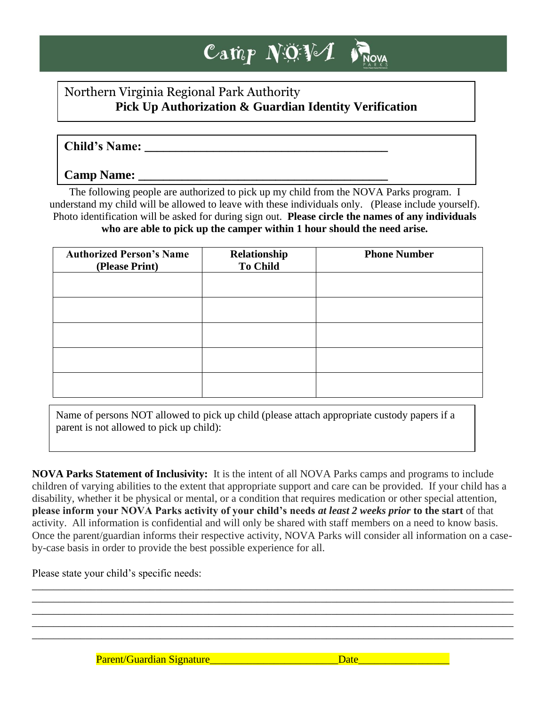## $\mathbf{C}$ amp N $\mathbf{\ddot{Q}}\mathbf{\ddot{V}}$ **NOVA**

## Northern Virginia Regional Park Authority **Pick Up Authorization & Guardian Identity Verification**

## **Child's Name: \_\_\_\_\_\_\_\_\_\_\_\_\_\_\_\_\_\_\_\_\_\_\_\_\_\_\_\_\_\_\_\_\_\_\_\_\_\_\_**

## **Camp Name: \_\_\_\_\_\_\_\_\_\_\_\_\_\_\_\_\_\_\_\_\_\_\_\_\_\_\_\_\_\_\_\_\_\_\_\_\_\_\_\_**

The following people are authorized to pick up my child from the NOVA Parks program. I understand my child will be allowed to leave with these individuals only. (Please include yourself). Photo identification will be asked for during sign out. **Please circle the names of any individuals who are able to pick up the camper within 1 hour should the need arise.**

| <b>Authorized Person's Name</b><br>(Please Print) | Relationship<br><b>To Child</b> | <b>Phone Number</b> |  |  |  |
|---------------------------------------------------|---------------------------------|---------------------|--|--|--|
|                                                   |                                 |                     |  |  |  |
|                                                   |                                 |                     |  |  |  |
|                                                   |                                 |                     |  |  |  |
|                                                   |                                 |                     |  |  |  |
|                                                   |                                 |                     |  |  |  |

Name of persons NOT allowed to pick up child (please attach appropriate custody papers if a parent is not allowed to pick up child):

**NOVA Parks Statement of Inclusivity:** It is the intent of all NOVA Parks camps and programs to include children of varying abilities to the extent that appropriate support and care can be provided. If your child has a disability, whether it be physical or mental, or a condition that requires medication or other special attention, **please inform your NOVA Parks activity of your child's needs** *at least 2 weeks prior* **to the start** of that activity. All information is confidential and will only be shared with staff members on a need to know basis. Once the parent/guardian informs their respective activity, NOVA Parks will consider all information on a caseby-case basis in order to provide the best possible experience for all.

\_\_\_\_\_\_\_\_\_\_\_\_\_\_\_\_\_\_\_\_\_\_\_\_\_\_\_\_\_\_\_\_\_\_\_\_\_\_\_\_\_\_\_\_\_\_\_\_\_\_\_\_\_\_\_\_\_\_\_\_\_\_\_\_\_\_\_\_\_\_\_\_\_\_\_\_\_\_\_\_\_\_\_\_\_\_\_\_\_\_ \_\_\_\_\_\_\_\_\_\_\_\_\_\_\_\_\_\_\_\_\_\_\_\_\_\_\_\_\_\_\_\_\_\_\_\_\_\_\_\_\_\_\_\_\_\_\_\_\_\_\_\_\_\_\_\_\_\_\_\_\_\_\_\_\_\_\_\_\_\_\_\_\_\_\_\_\_\_\_\_\_\_\_\_\_\_\_\_\_\_ \_\_\_\_\_\_\_\_\_\_\_\_\_\_\_\_\_\_\_\_\_\_\_\_\_\_\_\_\_\_\_\_\_\_\_\_\_\_\_\_\_\_\_\_\_\_\_\_\_\_\_\_\_\_\_\_\_\_\_\_\_\_\_\_\_\_\_\_\_\_\_\_\_\_\_\_\_\_\_\_\_\_\_\_\_\_\_\_\_\_ \_\_\_\_\_\_\_\_\_\_\_\_\_\_\_\_\_\_\_\_\_\_\_\_\_\_\_\_\_\_\_\_\_\_\_\_\_\_\_\_\_\_\_\_\_\_\_\_\_\_\_\_\_\_\_\_\_\_\_\_\_\_\_\_\_\_\_\_\_\_\_\_\_\_\_\_\_\_\_\_\_\_\_\_\_\_\_\_\_\_ \_\_\_\_\_\_\_\_\_\_\_\_\_\_\_\_\_\_\_\_\_\_\_\_\_\_\_\_\_\_\_\_\_\_\_\_\_\_\_\_\_\_\_\_\_\_\_\_\_\_\_\_\_\_\_\_\_\_\_\_\_\_\_\_\_\_\_\_\_\_\_\_\_\_\_\_\_\_\_\_\_\_\_\_\_\_\_\_\_\_

Please state your child's specific needs:

Parent/Guardian Signature and the state of the Date and Date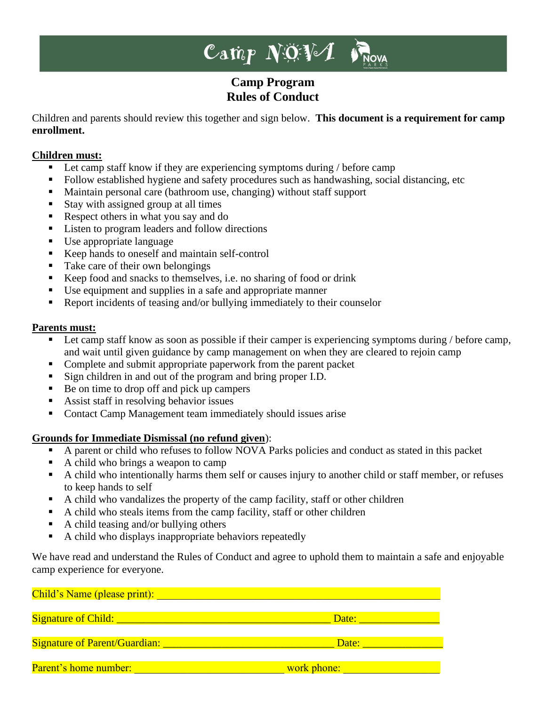## Camp  $NQV$ *D'NOVA*

## **Camp Program Rules of Conduct**

Children and parents should review this together and sign below. **This document is a requirement for camp enrollment.**

### **Children must:**

- Let camp staff know if they are experiencing symptoms during / before camp
- Follow established hygiene and safety procedures such as handwashing, social distancing, etc
- Maintain personal care (bathroom use, changing) without staff support
- Stay with assigned group at all times
- Respect others in what you say and do
- Listen to program leaders and follow directions
- Use appropriate language
- Keep hands to oneself and maintain self-control
- Take care of their own belongings
- Keep food and snacks to themselves, i.e. no sharing of food or drink
- Use equipment and supplies in a safe and appropriate manner
- Report incidents of teasing and/or bullying immediately to their counselor

### **Parents must:**

- **Example 1** Let camp staff know as soon as possible if their camper is experiencing symptoms during / before camp, and wait until given guidance by camp management on when they are cleared to rejoin camp
- Complete and submit appropriate paperwork from the parent packet
- Sign children in and out of the program and bring proper I.D.
- Be on time to drop off and pick up campers
- Assist staff in resolving behavior issues
- Contact Camp Management team immediately should issues arise

### **Grounds for Immediate Dismissal (no refund given**):

- A parent or child who refuses to follow NOVA Parks policies and conduct as stated in this packet
- A child who brings a weapon to camp
- A child who intentionally harms them self or causes injury to another child or staff member, or refuses to keep hands to self
- A child who vandalizes the property of the camp facility, staff or other children
- A child who steals items from the camp facility, staff or other children
- A child teasing and/or bullying others
- A child who displays inappropriate behaviors repeatedly

We have read and understand the Rules of Conduct and agree to uphold them to maintain a safe and enjoyable camp experience for everyone.

| Child's Name (please print): |                    |  |  |
|------------------------------|--------------------|--|--|
|                              |                    |  |  |
|                              | Date: <b>Date:</b> |  |  |
|                              |                    |  |  |
|                              | Date:              |  |  |
|                              |                    |  |  |
| Parent's home number:        | work phone:        |  |  |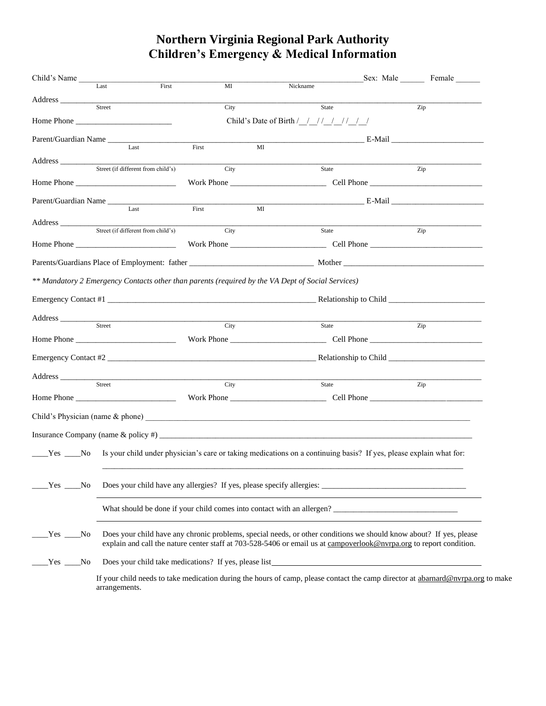# **Northern Virginia Regional Park Authority Children's Emergency & Medical Information**

| Child's Name                                                                                                                                                                                                                                                         |                                                                                                                    |                                                                                                                               | Sex: Male Female                                                                                                                |  |  |  |  |
|----------------------------------------------------------------------------------------------------------------------------------------------------------------------------------------------------------------------------------------------------------------------|--------------------------------------------------------------------------------------------------------------------|-------------------------------------------------------------------------------------------------------------------------------|---------------------------------------------------------------------------------------------------------------------------------|--|--|--|--|
| Last                                                                                                                                                                                                                                                                 | First<br>MI                                                                                                        | Nickname                                                                                                                      |                                                                                                                                 |  |  |  |  |
| Address<br>Street                                                                                                                                                                                                                                                    | City                                                                                                               | State                                                                                                                         | Zip                                                                                                                             |  |  |  |  |
| Home Phone                                                                                                                                                                                                                                                           |                                                                                                                    | Child's Date of Birth / / // / // // /                                                                                        |                                                                                                                                 |  |  |  |  |
|                                                                                                                                                                                                                                                                      |                                                                                                                    |                                                                                                                               |                                                                                                                                 |  |  |  |  |
| Parent/Guardian Name<br>Last                                                                                                                                                                                                                                         | First                                                                                                              | MI                                                                                                                            | <b>E-Mail E-Mail</b>                                                                                                            |  |  |  |  |
| Address and the contract of the contract of the contract of the contract of the contract of the contract of the contract of the contract of the contract of the contract of the contract of the contract of the contract of th<br>Street (if different from child's) |                                                                                                                    |                                                                                                                               |                                                                                                                                 |  |  |  |  |
|                                                                                                                                                                                                                                                                      | City                                                                                                               | State                                                                                                                         | Zip                                                                                                                             |  |  |  |  |
|                                                                                                                                                                                                                                                                      |                                                                                                                    |                                                                                                                               |                                                                                                                                 |  |  |  |  |
| Parent/Guardian Name<br>Last                                                                                                                                                                                                                                         | First                                                                                                              | $\overline{MI}$                                                                                                               | $E$ -Mail                                                                                                                       |  |  |  |  |
|                                                                                                                                                                                                                                                                      |                                                                                                                    |                                                                                                                               |                                                                                                                                 |  |  |  |  |
|                                                                                                                                                                                                                                                                      |                                                                                                                    | State                                                                                                                         | Zip                                                                                                                             |  |  |  |  |
|                                                                                                                                                                                                                                                                      |                                                                                                                    |                                                                                                                               |                                                                                                                                 |  |  |  |  |
|                                                                                                                                                                                                                                                                      |                                                                                                                    |                                                                                                                               |                                                                                                                                 |  |  |  |  |
| ** Mandatory 2 Emergency Contacts other than parents (required by the VA Dept of Social Services)                                                                                                                                                                    |                                                                                                                    |                                                                                                                               |                                                                                                                                 |  |  |  |  |
|                                                                                                                                                                                                                                                                      |                                                                                                                    |                                                                                                                               |                                                                                                                                 |  |  |  |  |
|                                                                                                                                                                                                                                                                      |                                                                                                                    |                                                                                                                               |                                                                                                                                 |  |  |  |  |
| Address Street C                                                                                                                                                                                                                                                     | City                                                                                                               | <u> 1989 - Johann Barn, mars eta bainar eta industrial eta erromana eta erromana eta erromana eta erromana eta e</u><br>State | Zip                                                                                                                             |  |  |  |  |
|                                                                                                                                                                                                                                                                      |                                                                                                                    |                                                                                                                               |                                                                                                                                 |  |  |  |  |
|                                                                                                                                                                                                                                                                      |                                                                                                                    |                                                                                                                               |                                                                                                                                 |  |  |  |  |
|                                                                                                                                                                                                                                                                      |                                                                                                                    |                                                                                                                               |                                                                                                                                 |  |  |  |  |
| Address<br>Street                                                                                                                                                                                                                                                    | City                                                                                                               |                                                                                                                               |                                                                                                                                 |  |  |  |  |
|                                                                                                                                                                                                                                                                      |                                                                                                                    | State                                                                                                                         | Zip                                                                                                                             |  |  |  |  |
|                                                                                                                                                                                                                                                                      |                                                                                                                    |                                                                                                                               |                                                                                                                                 |  |  |  |  |
|                                                                                                                                                                                                                                                                      |                                                                                                                    |                                                                                                                               |                                                                                                                                 |  |  |  |  |
|                                                                                                                                                                                                                                                                      |                                                                                                                    |                                                                                                                               |                                                                                                                                 |  |  |  |  |
| Yes No                                                                                                                                                                                                                                                               |                                                                                                                    |                                                                                                                               | Is your child under physician's care or taking medications on a continuing basis? If yes, please explain what for:              |  |  |  |  |
|                                                                                                                                                                                                                                                                      |                                                                                                                    |                                                                                                                               |                                                                                                                                 |  |  |  |  |
|                                                                                                                                                                                                                                                                      |                                                                                                                    |                                                                                                                               |                                                                                                                                 |  |  |  |  |
| Yes No                                                                                                                                                                                                                                                               |                                                                                                                    |                                                                                                                               |                                                                                                                                 |  |  |  |  |
|                                                                                                                                                                                                                                                                      |                                                                                                                    | What should be done if your child comes into contact with an allergen?                                                        |                                                                                                                                 |  |  |  |  |
|                                                                                                                                                                                                                                                                      |                                                                                                                    |                                                                                                                               |                                                                                                                                 |  |  |  |  |
| Nes No                                                                                                                                                                                                                                                               | Does your child have any chronic problems, special needs, or other conditions we should know about? If yes, please |                                                                                                                               |                                                                                                                                 |  |  |  |  |
|                                                                                                                                                                                                                                                                      |                                                                                                                    |                                                                                                                               | explain and call the nature center staff at 703-528-5406 or email us at campoverlook@nvrpa.org to report condition.             |  |  |  |  |
| Yes No                                                                                                                                                                                                                                                               |                                                                                                                    | Does your child take medications? If yes, please list_                                                                        |                                                                                                                                 |  |  |  |  |
|                                                                                                                                                                                                                                                                      |                                                                                                                    |                                                                                                                               | If your child needs to take medication during the hours of camp, please contact the camp director at abarnard@nvrpa.org to make |  |  |  |  |
| arrangements.                                                                                                                                                                                                                                                        |                                                                                                                    |                                                                                                                               |                                                                                                                                 |  |  |  |  |